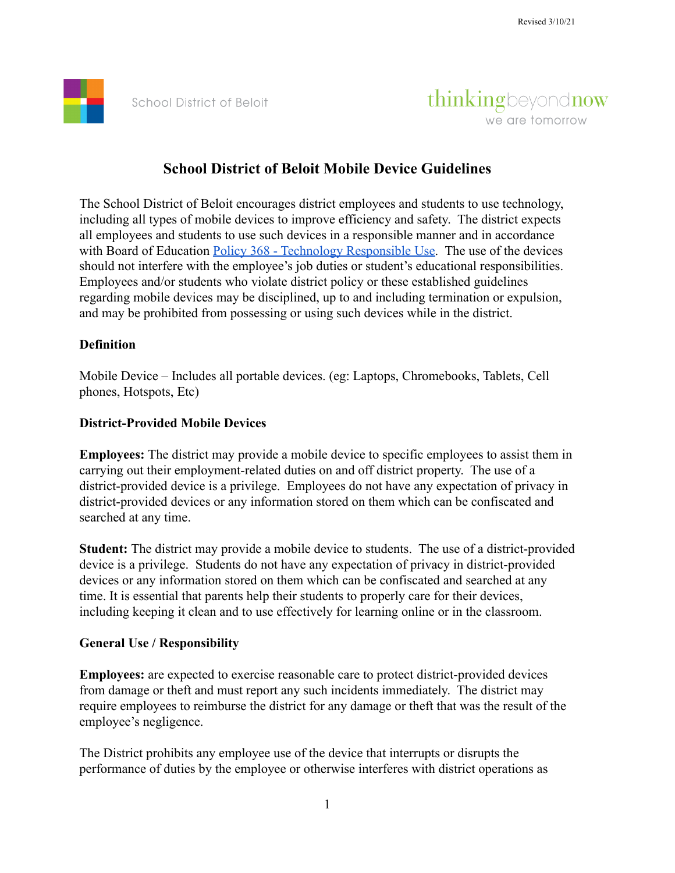

School District of Beloit

## **School District of Beloit Mobile Device Guidelines**

The School District of Beloit encourages district employees and students to use technology, including all types of mobile devices to improve efficiency and safety. The district expects all employees and students to use such devices in a responsible manner and in accordance with Board of Education [Policy 368 - Technology Responsible](https://docs.google.com/document/d/10_LhyAlJF0iS8H9tH5pXtdl8NVn3hb1idt3h-2j7SiE/edit) Use. The use of the devices should not interfere with the employee's job duties or student's educational responsibilities. Employees and/or students who violate district policy or these established guidelines regarding mobile devices may be disciplined, up to and including termination or expulsion, and may be prohibited from possessing or using such devices while in the district.

## **Definition**

Mobile Device – Includes all portable devices. (eg: Laptops, Chromebooks, Tablets, Cell phones, Hotspots, Etc)

### **District-Provided Mobile Devices**

**Employees:** The district may provide a mobile device to specific employees to assist them in carrying out their employment-related duties on and off district property. The use of a district-provided device is a privilege. Employees do not have any expectation of privacy in district-provided devices or any information stored on them which can be confiscated and searched at any time.

**Student:** The district may provide a mobile device to students. The use of a district-provided device is a privilege. Students do not have any expectation of privacy in district-provided devices or any information stored on them which can be confiscated and searched at any time. It is essential that parents help their students to properly care for their devices, including keeping it clean and to use effectively for learning online or in the classroom.

### **General Use / Responsibility**

**Employees:** are expected to exercise reasonable care to protect district-provided devices from damage or theft and must report any such incidents immediately. The district may require employees to reimburse the district for any damage or theft that was the result of the employee's negligence.

The District prohibits any employee use of the device that interrupts or disrupts the performance of duties by the employee or otherwise interferes with district operations as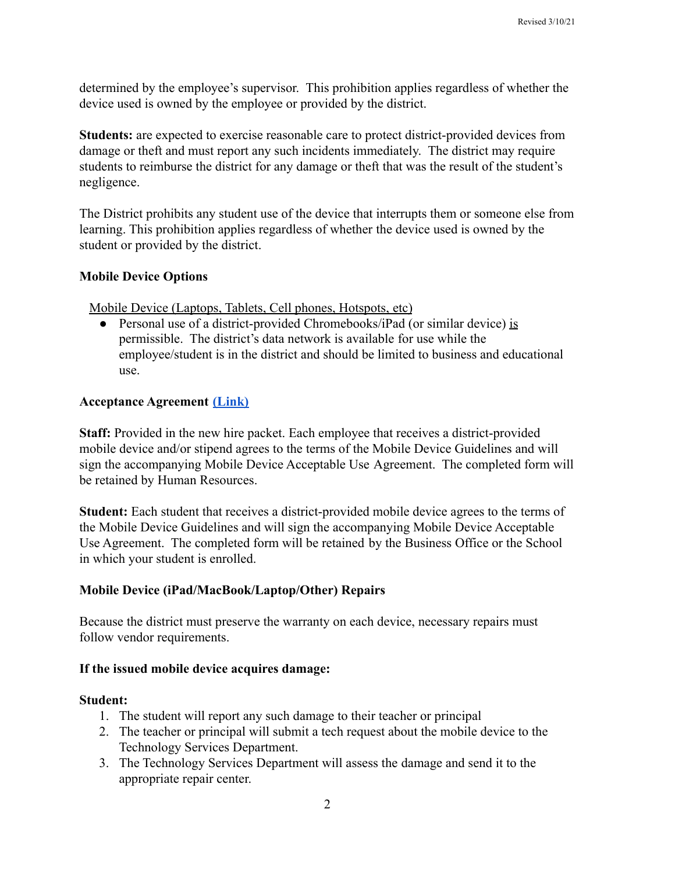determined by the employee's supervisor. This prohibition applies regardless of whether the device used is owned by the employee or provided by the district.

**Students:** are expected to exercise reasonable care to protect district-provided devices from damage or theft and must report any such incidents immediately. The district may require students to reimburse the district for any damage or theft that was the result of the student's negligence.

The District prohibits any student use of the device that interrupts them or someone else from learning. This prohibition applies regardless of whether the device used is owned by the student or provided by the district.

### **Mobile Device Options**

Mobile Device (Laptops, Tablets, Cell phones, Hotspots, etc)

● Personal use of a district-provided Chromebooks/iPad (or similar device) is permissible. The district's data network is available for use while the employee/student is in the district and should be limited to business and educational use.

### **Acceptance Agreement [\(Link\)](https://docs.google.com/document/d/1bn5Ip6aQ9DWXFWpicmeRwkaQvogABEYJwlBRksvPhkk/edit)**

**Staff:** Provided in the new hire packet. Each employee that receives a district-provided mobile device and/or stipend agrees to the terms of the Mobile Device Guidelines and will sign the accompanying Mobile Device Acceptable Use Agreement. The completed form will be retained by Human Resources.

**Student:** Each student that receives a district-provided mobile device agrees to the terms of the Mobile Device Guidelines and will sign the accompanying Mobile Device Acceptable Use Agreement. The completed form will be retained by the Business Office or the School in which your student is enrolled.

### **Mobile Device (iPad/MacBook/Laptop/Other) Repairs**

Because the district must preserve the warranty on each device, necessary repairs must follow vendor requirements.

### **If the issued mobile device acquires damage:**

### **Student:**

- 1. The student will report any such damage to their teacher or principal
- 2. The teacher or principal will submit a tech request about the mobile device to the Technology Services Department.
- 3. The Technology Services Department will assess the damage and send it to the appropriate repair center.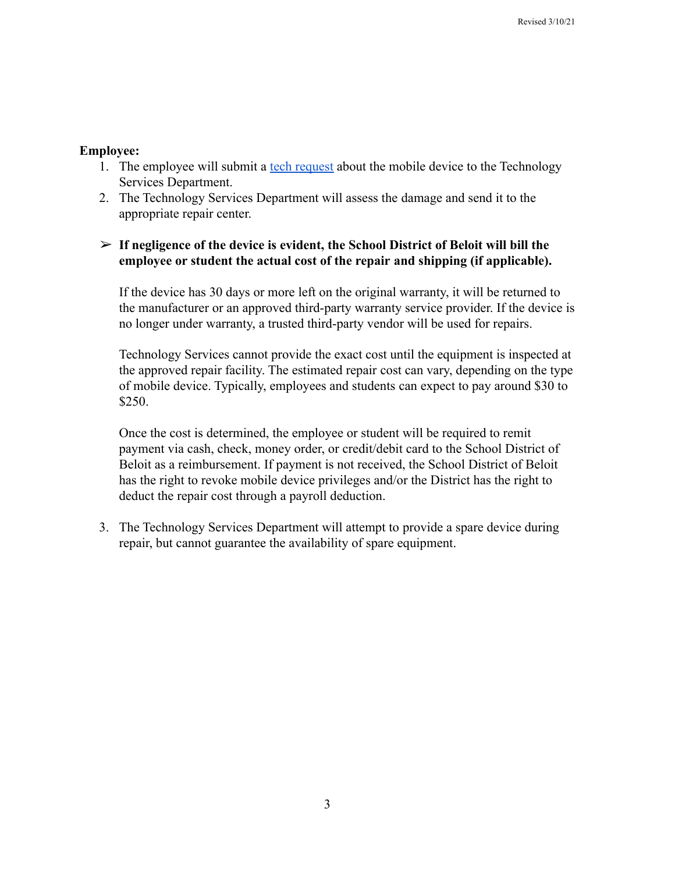### **Employee:**

- 1. The employee will submit a [tech request](https://sdb.zendesk.com/hc/en-us) about the mobile device to the Technology Services Department.
- 2. The Technology Services Department will assess the damage and send it to the appropriate repair center.

## ➢ **If negligence of the device is evident, the School District of Beloit will bill the employee or student the actual cost of the repair and shipping (if applicable).**

If the device has 30 days or more left on the original warranty, it will be returned to the manufacturer or an approved third-party warranty service provider. If the device is no longer under warranty, a trusted third-party vendor will be used for repairs.

Technology Services cannot provide the exact cost until the equipment is inspected at the approved repair facility. The estimated repair cost can vary, depending on the type of mobile device. Typically, employees and students can expect to pay around \$30 to \$250.

Once the cost is determined, the employee or student will be required to remit payment via cash, check, money order, or credit/debit card to the School District of Beloit as a reimbursement. If payment is not received, the School District of Beloit has the right to revoke mobile device privileges and/or the District has the right to deduct the repair cost through a payroll deduction.

3. The Technology Services Department will attempt to provide a spare device during repair, but cannot guarantee the availability of spare equipment.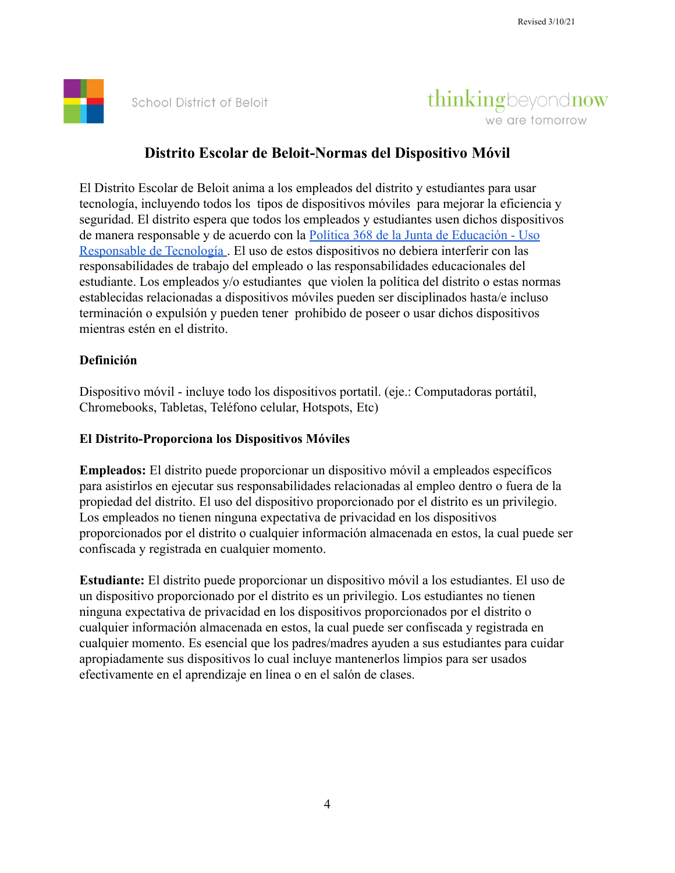

# thinkingbeyondnow we are tomorrow

## **Distrito Escolar de Beloit-Normas del Dispositivo Móvil**

El Distrito Escolar de Beloit anima a los empleados del distrito y estudiantes para usar tecnología, incluyendo todos los tipos de dispositivos móviles para mejorar la eficiencia y seguridad. El distrito espera que todos los empleados y estudiantes usen dichos dispositivos de manera responsable y de acuerdo con la Política [368 de la Junta de Educación - Uso](https://docs.google.com/document/d/10_LhyAlJF0iS8H9tH5pXtdl8NVn3hb1idt3h-2j7SiE/edit) [Responsable de Tecnología](https://docs.google.com/document/d/10_LhyAlJF0iS8H9tH5pXtdl8NVn3hb1idt3h-2j7SiE/edit) . El uso de estos dispositivos no debiera interferir con las responsabilidades de trabajo del empleado o las responsabilidades educacionales del estudiante. Los empleados y/o estudiantes que violen la política del distrito o estas normas establecidas relacionadas a dispositivos móviles pueden ser disciplinados hasta/e incluso terminación o expulsión y pueden tener prohibido de poseer o usar dichos dispositivos mientras estén en el distrito.

## **Definición**

Dispositivo móvil - incluye todo los dispositivos portatil. (eje.: Computadoras portátil, Chromebooks, Tabletas, Teléfono celular, Hotspots, Etc)

### **El Distrito-Proporciona los Dispositivos Móviles**

**Empleados:** El distrito puede proporcionar un dispositivo móvil a empleados específicos para asistirlos en ejecutar sus responsabilidades relacionadas al empleo dentro o fuera de la propiedad del distrito. El uso del dispositivo proporcionado por el distrito es un privilegio. Los empleados no tienen ninguna expectativa de privacidad en los dispositivos proporcionados por el distrito o cualquier información almacenada en estos, la cual puede ser confiscada y registrada en cualquier momento.

**Estudiante:** El distrito puede proporcionar un dispositivo móvil a los estudiantes. El uso de un dispositivo proporcionado por el distrito es un privilegio. Los estudiantes no tienen ninguna expectativa de privacidad en los dispositivos proporcionados por el distrito o cualquier información almacenada en estos, la cual puede ser confiscada y registrada en cualquier momento. Es esencial que los padres/madres ayuden a sus estudiantes para cuidar apropiadamente sus dispositivos lo cual incluye mantenerlos limpios para ser usados efectivamente en el aprendizaje en línea o en el salón de clases.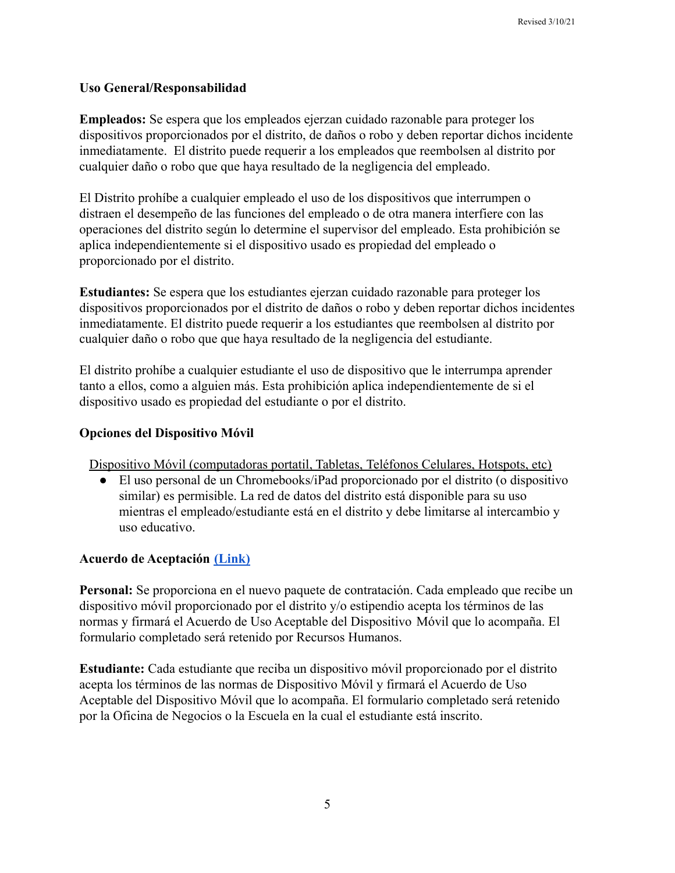### **Uso General/Responsabilidad**

**Empleados:** Se espera que los empleados ejerzan cuidado razonable para proteger los dispositivos proporcionados por el distrito, de daños o robo y deben reportar dichos incidente inmediatamente. El distrito puede requerir a los empleados que reembolsen al distrito por cualquier daño o robo que que haya resultado de la negligencia del empleado.

El Distrito prohíbe a cualquier empleado el uso de los dispositivos que interrumpen o distraen el desempeño de las funciones del empleado o de otra manera interfiere con las operaciones del distrito según lo determine el supervisor del empleado. Esta prohibición se aplica independientemente si el dispositivo usado es propiedad del empleado o proporcionado por el distrito.

**Estudiantes:** Se espera que los estudiantes ejerzan cuidado razonable para proteger los dispositivos proporcionados por el distrito de daños o robo y deben reportar dichos incidentes inmediatamente. El distrito puede requerir a los estudiantes que reembolsen al distrito por cualquier daño o robo que que haya resultado de la negligencia del estudiante.

El distrito prohíbe a cualquier estudiante el uso de dispositivo que le interrumpa aprender tanto a ellos, como a alguien más. Esta prohibición aplica independientemente de si el dispositivo usado es propiedad del estudiante o por el distrito.

### **Opciones del Dispositivo Móvil**

Dispositivo Móvil (computadoras portatil, Tabletas, Teléfonos Celulares, Hotspots, etc)

● El uso personal de un Chromebooks/iPad proporcionado por el distrito (o dispositivo similar) es permisible. La red de datos del distrito está disponible para su uso mientras el empleado/estudiante está en el distrito y debe limitarse al intercambio y uso educativo.

### **Acuerdo de Aceptación [\(Link\)](https://docs.google.com/document/d/1bn5Ip6aQ9DWXFWpicmeRwkaQvogABEYJwlBRksvPhkk/edit)**

**Personal:** Se proporciona en el nuevo paquete de contratación. Cada empleado que recibe un dispositivo móvil proporcionado por el distrito y/o estipendio acepta los términos de las normas y firmará el Acuerdo de Uso Aceptable del Dispositivo Móvil que lo acompaña. El formulario completado será retenido por Recursos Humanos.

**Estudiante:** Cada estudiante que reciba un dispositivo móvil proporcionado por el distrito acepta los términos de las normas de Dispositivo Móvil y firmará el Acuerdo de Uso Aceptable del Dispositivo Móvil que lo acompaña. El formulario completado será retenido por la Oficina de Negocios o la Escuela en la cual el estudiante está inscrito.